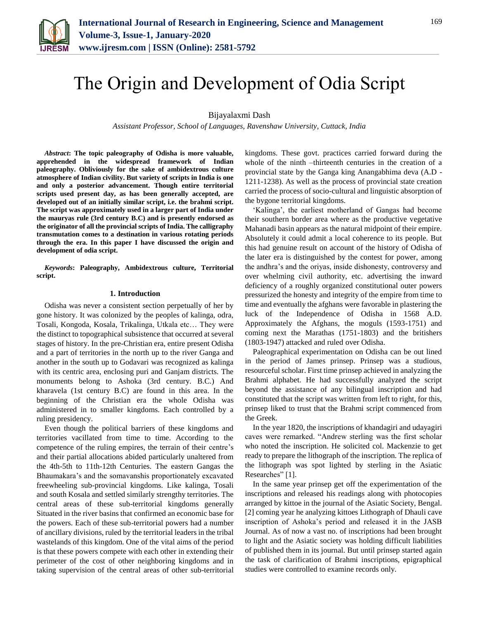

# The Origin and Development of Odia Script

Bijayalaxmi Dash

*Assistant Professor, School of Languages, Ravenshaw University, Cuttack, India*

*Abstract***: The topic paleography of Odisha is more valuable, apprehended in the widespread framework of Indian paleography. Obliviously for the sake of ambidextrous culture atmosphere of Indian civility. But variety of scripts in India is one and only a posterior advancement. Though entire territorial scripts used present day, as has been generally accepted, are developed out of an initially similar script, i.e. the brahmi script. The script was approximately used in a larger part of India under the mauryas rule (3rd century B.C) and is presently endorsed as the originator of all the provincial scripts of India. The calligraphy transmutation comes to a destination in various rotating periods through the era. In this paper I have discussed the origin and development of odia script.**

*Keywords***: Paleography, Ambidextrous culture, Territorial script.**

## **1. Introduction**

Odisha was never a consistent section perpetually of her by gone history. It was colonized by the peoples of kalinga, odra, Tosali, Kongoda, Kosala, Trikalinga, Utkala etc… They were the distinct to topographical subsistence that occurred at several stages of history. In the pre-Christian era, entire present Odisha and a part of territories in the north up to the river Ganga and another in the south up to Godavari was recognized as kalinga with its centric area, enclosing puri and Ganjam districts. The monuments belong to Ashoka (3rd century. B.C.) And kharavela (1st century B.C) are found in this area. In the beginning of the Christian era the whole Odisha was administered in to smaller kingdoms. Each controlled by a ruling presidency.

Even though the political barriers of these kingdoms and territories vacillated from time to time. According to the competence of the ruling empires, the terrain of their centre's and their partial allocations abided particularly unaltered from the 4th-5th to 11th-12th Centuries. The eastern Gangas the Bhaumakara's and the somavanshis proportionately excavated freewheeling sub-provincial kingdoms. Like kalinga, Tosali and south Kosala and settled similarly strengthy territories. The central areas of these sub-territorial kingdoms generally Situated in the river basins that confirmed an economic base for the powers. Each of these sub-territorial powers had a number of ancillary divisions, ruled by the territorial leaders in the tribal wastelands of this kingdom. One of the vital aims of the period is that these powers compete with each other in extending their perimeter of the cost of other neighboring kingdoms and in taking supervision of the central areas of other sub-territorial

kingdoms. These govt. practices carried forward during the whole of the ninth –thirteenth centuries in the creation of a provincial state by the Ganga king Anangabhima deva (A.D - 1211-1238). As well as the process of provincial state creation carried the process of socio-cultural and linguistic absorption of the bygone territorial kingdoms.

'Kalinga', the earliest motherland of Gangas had become their southern border area where as the productive vegetative Mahanadi basin appears as the natural midpoint of their empire. Absolutely it could admit a local coherence to its people. But this had genuine result on account of the history of Odisha of the later era is distinguished by the contest for power, among the andhra's and the oriyas, inside dishonesty, controversy and over whelming civil authority, etc. advertising the inward deficiency of a roughly organized constitutional outer powers pressurized the honesty and integrity of the empire from time to time and eventually the afghans were favorable in plastering the luck of the Independence of Odisha in 1568 A.D. Approximately the Afghans, the moguls (1593-1751) and coming next the Marathas (1751-1803) and the britishers (1803-1947) attacked and ruled over Odisha.

Paleographical experimentation on Odisha can be out lined in the period of James prinsep. Prinsep was a studious, resourceful scholar. First time prinsep achieved in analyzing the Brahmi alphabet. He had successfully analyzed the script beyond the assistance of any bilingual inscription and had constituted that the script was written from left to right, for this, prinsep liked to trust that the Brahmi script commenced from the Greek.

In the year 1820, the inscriptions of khandagiri and udayagiri caves were remarked. "Andrew sterling was the first scholar who noted the inscription. He solicited col. Mackenzie to get ready to prepare the lithograph of the inscription. The replica of the lithograph was spot lighted by sterling in the Asiatic Researches" [1].

In the same year prinsep get off the experimentation of the inscriptions and released his readings along with photocopies arranged by kittoe in the journal of the Asiatic Society, Bengal. [2] coming year he analyzing kittoes Lithograph of Dhauli cave inscription of Ashoka's period and released it in the JASB Journal. As of now a vast no. of inscriptions had been brought to light and the Asiatic society was holding difficult liabilities of published them in its journal. But until prinsep started again the task of clarification of Brahmi inscriptions, epigraphical studies were controlled to examine records only.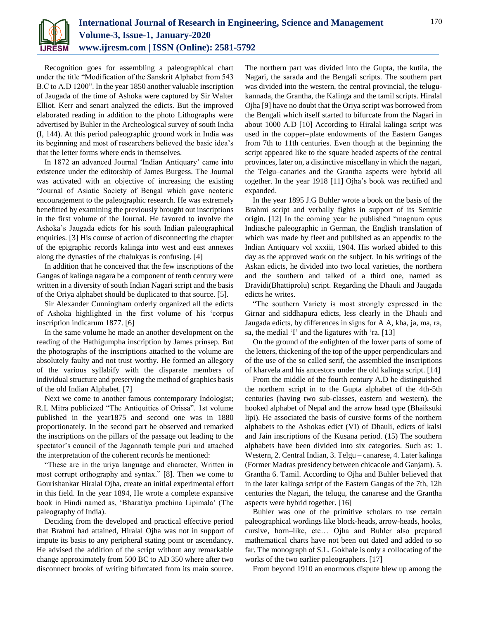

Recognition goes for assembling a paleographical chart under the title "Modification of the Sanskrit Alphabet from 543 B.C to A.D 1200". In the year 1850 another valuable inscription of Jaugada of the time of Ashoka were captured by Sir Walter Elliot. Kerr and senart analyzed the edicts. But the improved elaborated reading in addition to the photo Lithographs were advertised by Buhler in the Archeological survey of south India (I, 144). At this period paleographic ground work in India was its beginning and most of researchers believed the basic idea's that the letter forms where ends in themselves.

In 1872 an advanced Journal 'Indian Antiquary' came into existence under the editorship of James Burgess. The Journal was activated with an objective of increasing the existing "Journal of Asiatic Society of Bengal which gave neoteric encouragement to the paleographic research. He was extremely benefitted by examining the previously brought out inscriptions in the first volume of the Journal. He favored to involve the Ashoka's Jaugada edicts for his south Indian paleographical enquiries. [3] His course of action of disconnecting the chapter of the epigraphic records kalinga into west and east annexes along the dynasties of the chalukyas is confusing. [4]

In addition that he conceived that the few inscriptions of the Gangas of kalinga nagara be a component of tenth century were written in a diversity of south Indian Nagari script and the basis of the Oriya alphabet should be duplicated to that source. [5].

Sir Alexander Cunningham orderly organized all the edicts of Ashoka highlighted in the first volume of his 'corpus inscription indicarum 1877. [6]

In the same volume he made an another development on the reading of the Hathigumpha inscription by James prinsep. But the photographs of the inscriptions attached to the volume are absolutely faulty and not trust worthy. He formed an allegory of the various syllabify with the disparate members of individual structure and preserving the method of graphics basis of the old Indian Alphabet. [7]

Next we come to another famous contemporary Indologist; R.L Mitra publicized "The Antiquities of Orissa". 1st volume published in the year1875 and second one was in 1880 proportionately. In the second part he observed and remarked the inscriptions on the pillars of the passage out leading to the spectator's council of the Jagannath temple puri and attached the interpretation of the coherent records he mentioned:

"These are in the uriya language and character, Written in most corrupt orthography and syntax." [8]. Then we come to Gourishankar Hiralal Ojha, create an initial experimental effort in this field. In the year 1894, He wrote a complete expansive book in Hindi named as, 'Bharatiya prachina Lipimala' (The paleography of India).

Deciding from the developed and practical effective period that Brahmi had attained, Hiralal Ojha was not in support of impute its basis to any peripheral stating point or ascendancy. He advised the addition of the script without any remarkable change approximately from 500 BC to AD 350 where after two disconnect brooks of writing bifurcated from its main source.

The northern part was divided into the Gupta, the kutila, the Nagari, the sarada and the Bengali scripts. The southern part was divided into the western, the central provincial, the telugukannada, the Grantha, the Kalinga and the tamil scripts. Hiralal Ojha [9] have no doubt that the Oriya script was borrowed from the Bengali which itself started to bifurcate from the Nagari in about 1000 A.D [10] According to Hiralal kalinga script was used in the copper–plate endowments of the Eastern Gangas from 7th to 11th centuries. Even though at the beginning the script appeared like to the square headed aspects of the central provinces, later on, a distinctive miscellany in which the nagari, the Telgu–canaries and the Grantha aspects were hybrid all together. In the year 1918 [11] Ojha's book was rectified and expanded.

In the year 1895 J.G Buhler wrote a book on the basis of the Brahmi script and verbally fights in support of its Semitic origin. [12] In the coming year he published "magnum opus Indiasche paleographic in German, the English translation of which was made by fleet and published as an appendix to the Indian Antiquary vol xxxiii, 1904. His worked abided to this day as the approved work on the subject. In his writings of the Askan edicts, he divided into two local varieties, the northern and the southern and talked of a third one, named as Dravidi(Bhattiprolu) script. Regarding the Dhauli and Jaugada edicts he writes.

"The southern Variety is most strongly expressed in the Girnar and siddhapura edicts, less clearly in the Dhauli and Jaugada edicts, by differences in signs for A A, kha, ja, ma, ra, sa, the medial 'I' and the ligatures with 'ra. [13]

On the ground of the enlighten of the lower parts of some of the letters, thickening of the top of the upper perpendiculars and of the use of the so called serif, the assembled the inscriptions of kharvela and his ancestors under the old kalinga script. [14]

From the middle of the fourth century A.D he distinguished the northern script in to the Gupta alphabet of the 4th-5th centuries (having two sub-classes, eastern and western), the hooked alphabet of Nepal and the arrow head type (Bhaiksuki lipi). He associated the basis of cursive forms of the northern alphabets to the Ashokas edict (VI) of Dhauli, edicts of kalsi and Jain inscriptions of the Kusana period. (15) The southern alphabets have been divided into six categories. Such as: 1. Western, 2. Central Indian, 3. Telgu – canarese, 4. Later kalinga (Former Madras presidency between chicacole and Ganjam). 5. Grantha 6. Tamil. According to Ojha and Buhler believed that in the later kalinga script of the Eastern Gangas of the 7th, 12h centuries the Nagari, the telugu, the canarese and the Grantha aspects were hybrid together. [16]

Buhler was one of the primitive scholars to use certain paleographical wordings like block-heads, arrow-heads, hooks, cursive, horn–like, etc… Ojha and Buhler also prepared mathematical charts have not been out dated and added to so far. The monograph of S.L. Gokhale is only a collocating of the works of the two earlier paleographers. [17]

From beyond 1910 an enormous dispute blew up among the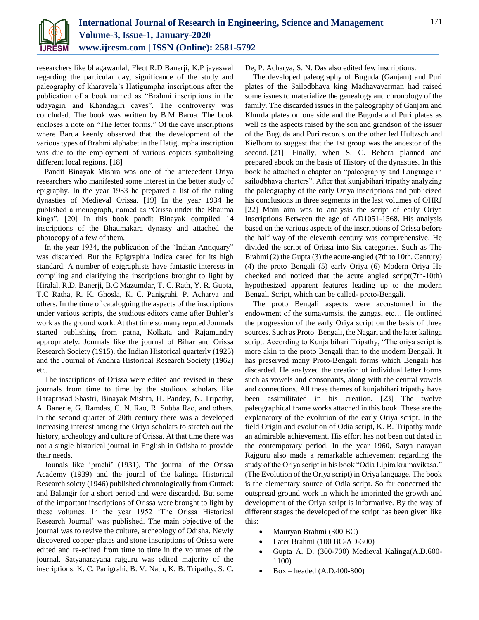

researchers like bhagawanlal, Flect R.D Banerji, K.P jayaswal regarding the particular day, significance of the study and paleography of kharavela's Hatigumpha inscriptions after the publication of a book named as "Brahmi inscriptions in the udayagiri and Khandagiri caves". The controversy was concluded. The book was written by B.M Barua. The book encloses a note on "The letter forms." Of the cave inscriptions where Barua keenly observed that the development of the various types of Brahmi alphabet in the Hatigumpha inscription was due to the employment of various copiers symbolizing different local regions. [18]

Pandit Binayak Mishra was one of the antecedent Oriya researchers who manifested some interest in the better study of epigraphy. In the year 1933 he prepared a list of the ruling dynasties of Medieval Orissa. [19] In the year 1934 he published a monograph, named as "Orissa under the Bhauma kings". [20] In this book pandit Binayak compiled 14 inscriptions of the Bhaumakara dynasty and attached the photocopy of a few of them.

In the year 1934, the publication of the "Indian Antiquary" was discarded. But the Epigraphia Indica cared for its high standard. A number of epigraphists have fantastic interests in compiling and clarifying the inscriptions brought to light by Hiralal, R.D. Banerji, B.C Mazumdar, T. C. Rath, Y. R. Gupta, T.C Ratha, R. K. Ghosla, K. C. Panigrahi, P. Acharya and others. In the time of cataloguing the aspects of the inscriptions under various scripts, the studious editors came after Buhler's work as the ground work. At that time so many reputed Journals started publishing from patna, Kolkata and Rajamundry appropriately. Journals like the journal of Bihar and Orissa Research Society (1915), the Indian Historical quarterly (1925) and the Journal of Andhra Historical Research Society (1962) etc.

The inscriptions of Orissa were edited and revised in these journals from time to time by the studious scholars like Haraprasad Shastri, Binayak Mishra, H. Pandey, N. Tripathy, A. Banerje, G. Ramdas, C. N. Rao, R. Subba Rao, and others. In the second quarter of 20th century there was a developed increasing interest among the Oriya scholars to stretch out the history, archeology and culture of Orissa. At that time there was not a single historical journal in English in Odisha to provide their needs.

Jounals like 'prachi' (1931), The journal of the Orissa Academy (1939) and the journl of the kalinga Historical Research soicty (1946) published chronologically from Cuttack and Balangir for a short period and were discarded. But some of the important inscriptions of Orissa were brought to light by these volumes. In the year 1952 'The Orissa Historical Research Journal' was published. The main objective of the journal was to revive the culture, archeology of Odisha. Newly discovered copper-plates and stone inscriptions of Orissa were edited and re-edited from time to time in the volumes of the journal. Satyanarayana rajguru was edited majority of the inscriptions. K. C. Panigrahi, B. V. Nath, K. B. Tripathy, S. C.

De, P. Acharya, S. N. Das also edited few inscriptions.

The developed paleography of Buguda (Ganjam) and Puri plates of the Sailodbhava king Madhavavarman had raised some issues to materialize the genealogy and chronology of the family. The discarded issues in the paleography of Ganjam and Khurda plates on one side and the Buguda and Puri plates as well as the aspects raised by the son and grandson of the issuer of the Buguda and Puri records on the other led Hultzsch and Kielhorn to suggest that the 1st group was the ancestor of the second. [21] Finally, when S. C. Behera planned and prepared abook on the basis of History of the dynasties. In this book he attached a chapter on "paleography and Language in sailodbhava charters". After that kunjabihari tripathy analyzing the paleography of the early Oriya inscriptions and publicized his conclusions in three segments in the last volumes of OHRJ [22] Main aim was to analysis the script of early Oriya Inscriptions Between the age of AD1051-1568. His analysis based on the various aspects of the inscriptions of Orissa before the half way of the eleventh century was comprehensive. He divided the script of Orissa into Six categories. Such as The Brahmi (2) the Gupta (3) the acute-angled (7th to 10th. Century) (4) the proto–Bengali (5) early Oriya (6) Modern Oriya He checked and noticed that the acute angled script(7th-10th) hypothesized apparent features leading up to the modern Bengali Script, which can be called- proto-Bengali.

The proto Bengali aspects were accustomed in the endowment of the sumavamsis, the gangas, etc… He outlined the progression of the early Oriya script on the basis of three sources. Such as Proto–Bengali, the Nagari and the later kalinga script. According to Kunja bihari Tripathy, "The oriya script is more akin to the proto Bengali than to the modern Bengali. It has preserved many Proto-Bengali forms which Bengali has discarded. He analyzed the creation of individual letter forms such as vowels and consonants, along with the central vowels and connections. All these themes of kunjabihari tripathy have been assimilitated in his creation. [23] The twelve paleographical frame works attached in this book. These are the explanatory of the evolution of the early Oriya script. In the field Origin and evolution of Odia script, K. B. Tripathy made an admirable achievement. His effort has not been out dated in the contemporary period. In the year 1960, Satya narayan Rajguru also made a remarkable achievement regarding the study of the Oriya script in his book "Odia Lipira kramavikasa." (The Evolution of the Oriya script) in Oriya language. The book is the elementary source of Odia script. So far concerned the outspread ground work in which he imprinted the growth and development of the Oriya script is informative. By the way of different stages the developed of the script has been given like this:

- Mauryan Brahmi (300 BC)
- Later Brahmi (100 BC-AD-300)
- Gupta A. D. (300-700) Medieval Kalinga(A.D.600- 1100)
- Box headed (A.D.400-800)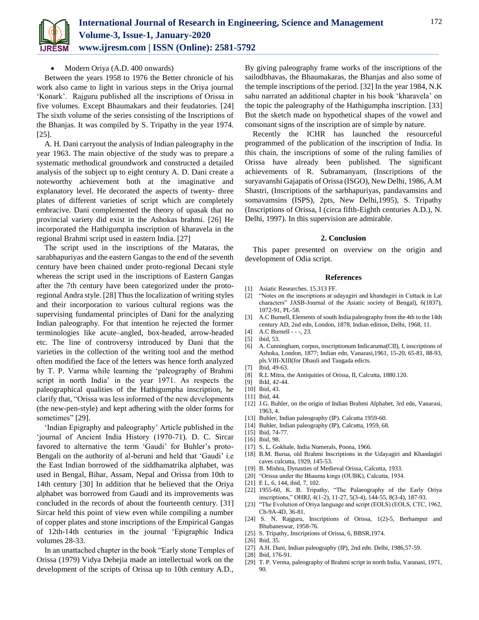

## Modern Oriya (A.D. 400 onwards)

Between the years 1958 to 1976 the Better chronicle of his work also came to light in various steps in the Oriya journal 'Konark'. Rajguru published all the inscriptions of Orissa in five volumes. Except Bhaumakars and their feudatories. [24] The sixth volume of the series consisting of the Inscriptions of the Bhanjas. It was compiled by S. Tripathy in the year 1974. [25].

A. H. Dani carryout the analysis of Indian paleography in the year 1963. The main objective of the study was to prepare a systematic methodical groundwork and constructed a detailed analysis of the subject up to eight century A. D. Dani create a noteworthy achievement both at the imaginative and explanatory level. He decorated the aspects of twenty- three plates of different varieties of script which are completely embracive. Dani complemented the theory of upasak that no provincial variety did exist in the Ashokas brahmi. [26] He incorporated the Hathigumpha inscription of kharavela in the regional Brahmi script used in eastern India. [27]

The script used in the inscriptions of the Mataras, the sarabhapuriyas and the eastern Gangas to the end of the seventh century have been chained under proto-regional Decani style whereas the script used in the inscriptions of Eastern Gangas after the 7th century have been categorized under the protoregional Andra style. [28] Thus the localization of writing styles and their incorporation to various cultural regions was the supervising fundamental principles of Dani for the analyzing Indian paleography. For that intention he rejected the former terminologies like acute–angled, box-headed, arrow-headed etc. The line of controversy introduced by Dani that the varieties in the collection of the writing tool and the method often modified the face of the letters was hence forth analyzed by T. P. Varma while learning the 'paleography of Brahmi script in north India' in the year 1971. As respects the paleographical qualities of the Hathigumpha inscription, he clarify that, "Orissa was less informed of the new developments (the new-pen-style) and kept adhering with the older forms for sometimes" [29].

'Indian Epigraphy and paleography' Article published in the 'journal of Ancient India History (1970-71). D. C. Sircar favored to alternative the term 'Gaudi' for Buhler's proto-Bengali on the authority of al-beruni and held that 'Gaudi' i.e the East Indian borrowed of the siddhamatrika alphabet, was used in Bengal, Bihar, Assam, Nepal and Orissa from 10th to 14th century [30] In addition that he believed that the Oriya alphabet was borrowed from Gaudi and its improvements was concluded in the records of about the fourteenth century. [31] Sircar held this point of view even while compiling a number of copper plates and stone inscriptions of the Empirical Gangas of 12th-14th centuries in the journal 'Epigraphic Indica volumes 28-33.

In an unattached chapter in the book "Early stone Temples of Orissa (1979) Vidya Dehejia made an intellectual work on the development of the scripts of Orissa up to 10th century A.D.,

By giving paleography frame works of the inscriptions of the sailodbhavas, the Bhaumakaras, the Bhanjas and also some of the temple inscriptions of the period. [32] In the year 1984, N.K sahu narrated an additional chapter in his book 'kharavela' on the topic the paleography of the Hathigumpha inscription. [33] But the sketch made on hypothetical shapes of the vowel and consonant signs of the inscription are of simple by nature.

Recently the ICHR has launched the resourceful programmed of the publication of the inscription of India. In this chain, the inscriptions of some of the ruling families of Orissa have already been published. The significant achievements of R. Subramanyam, (Inscriptions of the suryavanshi Gajapatis of Orissa (ISGO), New Delhi, 1986, A.M Shastri, (Inscriptions of the sarbhapuriyas, pandavamsins and somavamsins (ISPS), 2pts, New Delhi,1995), S. Tripathy (Inscriptions of Orissa, I (circa fifth-Eighth centuries A.D.), N. Delhi, 1997). In this supervision are admirable.

### **2. Conclusion**

This paper presented on overview on the origin and development of Odia script.

### **References**

- [1] Asiatic Researches. 15.313 FF.
- [2] "Notes on the inscriptions at udayagiri and khandagiri in Cuttack in Lat characters" JASB-Journal of the Asiatic society of Bengal), 6(1837), 1072-91, PL-58.
- [3] A.C Burnell, Elements of south India paleography from the 4th to the 14th century AD, 2nd edn, London, 1878, Indian edition, Delhi, 1968, 11.
- [4] A.C Burnell - -, 23.
- [5] ibid, 53.
- [6] A. Cunningham, corpus, inscriptionum Indicaruma(CII), I, inscriptions of Ashoka, London, 1877; Indian edn, Vanarasi,1961, 15-20, 65-81, 88-93, pls.VIII-XIII(for Dhauli and Taugada edicts.
- [7] Ibid, 49-63.
- [8] R.L Mitra, the Antiquities of Orissa, II, Calcutta, 1880.120.
- [9] **IbId**, 42-44.
- [10] Ibid, 43.
- [11] Ibid, 44.
- [12] J.G. Buhler, on the origin of Indian Brahmi Alphabet, 3rd edn, Vanarasi, 1963, 4.
- [13] Buhler, Indian paleography (IP). Calcutta 1959-60.
- [14] Buhler, Indian paleography (IP), Calcutta, 1959, 68.
- [15] Ibid, 74-77.
- [16] Ibid, 98.
- [17] S. L. Gokhale, India Numerals, Poona, 1966.
- [18] B.M. Burua, old Brahmi Inscriptions in the Udayagiri and Khandagiri caves culcutta, 1929, 145-53.
- [19] B. Mishra, Dynasties of Medieval Orissa, Calcutta, 1933.
- [20] "Orissa under the Bhauma kings (OUBK), Calcutta, 1934.
- [21] E L, 6, 144, ibid, 7, 102.
- [22] 1955-60, K. B. Tripathy, "The Palaeography of the Early Oriya inscriptions," OHRJ, 4(1-2), 11-27, 5(3-4), 144-55, 8(3-4), 187-93.
- [23] "The Evolution of Oriya language and script (EOLS) (EOLS, CTC, 1962, Ch-9A-4D, 36-81.
- [24] S. N. Rajguru, Inscriptions of Orissa, 1(2)-5, Berhampur and Bhubaneswar, 1958-76.
- [25] S. Tripathy, Inscriptions of Orissa, 6, BBSR,1974.
- [26] Ibid, 35.
- [27] A.H. Dani, Indian paleography (IP), 2nd edn. Delhi, 1986,57-59.
- [28] Ibid, 176-91.
- [29] T. P. Verma, paleography of Brahmi script in north India, Varanasi, 1971, 90.